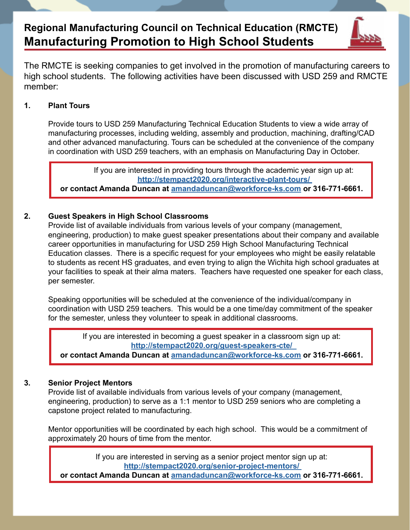# **Regional Manufacturing Council on Technical Education (RMCTE) Manufacturing Promotion to High School Students**



The RMCTE is seeking companies to get involved in the promotion of manufacturing careers to high school students. The following activities have been discussed with USD 259 and RMCTE member:

### **1. Plant Tours**

Provide tours to USD 259 Manufacturing Technical Education Students to view a wide array of manufacturing processes, including welding, assembly and production, machining, drafting/CAD and other advanced manufacturing. Tours can be scheduled at the convenience of the company in coordination with USD 259 teachers, with an emphasis on Manufacturing Day in October.

If you are interested in providing tours through the academic year sign up at: **[http://stempact2020.org/interactive-plant-tours/](http://stempact2020.org/interactive-plant-tours/ )  or contact Amanda Duncan at [amandaduncan@workforce-ks.com](mailto:amandaduncan@workforce-ks.com) or 316-771-6661.** 

### **2. Guest Speakers in High School Classrooms**

Provide list of available individuals from various levels of your company (management, engineering, production) to make guest speaker presentations about their company and available career opportunities in manufacturing for USD 259 High School Manufacturing Technical Education classes. There is a specific request for your employees who might be easily relatable to students as recent HS graduates, and even trying to align the Wichita high school graduates at your facilities to speak at their alma maters. Teachers have requested one speaker for each class, per semester.

Speaking opportunities will be scheduled at the convenience of the individual/company in coordination with USD 259 teachers. This would be a one time/day commitment of the speaker for the semester, unless they volunteer to speak in additional classrooms.

If you are interested in becoming a guest speaker in a classroom sign up at: **[http://stempact2020.org/guest-speakers-cte/](http://stempact2020.org/guest-speakers-cte/  )** 

**or contact Amanda Duncan at [amandaduncan@workforce-ks.com](mailto:amandaduncan@workforce-ks.com) or 316-771-6661.** 

## **3. Senior Project Mentors**

Provide list of available individuals from various levels of your company (management, engineering, production) to serve as a 1:1 mentor to USD 259 seniors who are completing a capstone project related to manufacturing.

Mentor opportunities will be coordinated by each high school. This would be a commitment of approximately 20 hours of time from the mentor.

> If you are interested in serving as a senior project mentor sign up at: **[http://stempact2020.org/senior-project-mentors/](http://stempact2020.org/senior-project-mentors/ )**

**or contact Amanda Duncan at [amandaduncan@workforce-ks.com](mailto:amandaduncan@workforce-ks.com) or 316-771-6661.**